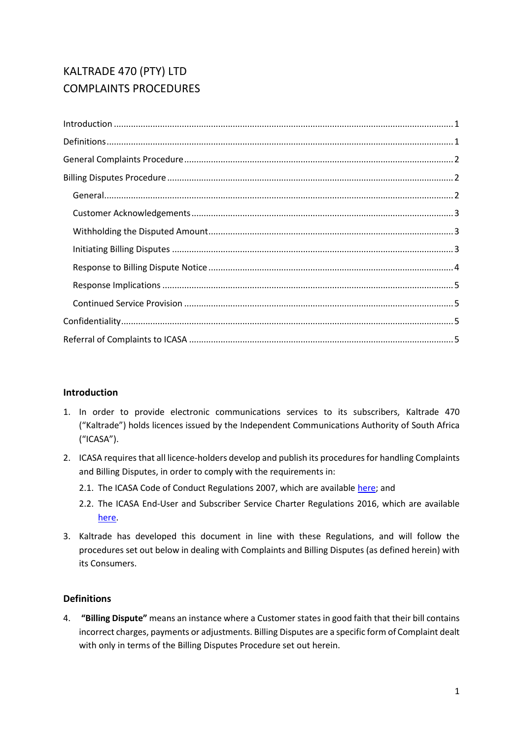# KALTRADE 470 (PTY) LTD COMPLAINTS PROCEDURES

## <span id="page-0-0"></span>**Introduction**

- 1. In order to provide electronic communications services to its subscribers, Kaltrade 470 ("Kaltrade") holds licences issued by the Independent Communications Authority of South Africa ("ICASA").
- 2. ICASA requires that all licence-holders develop and publish its procedures for handling Complaints and Billing Disputes, in order to comply with the requirements in:
	- 2.1. The ICASA Code of Conduct Regulations 2007, which are available [here;](http://www.ellipsis.co.za/wp-content/uploads/2017/04/Code_of_Conduct_Regulations_2007.pdf) and
	- 2.2. The ICASA End-User and Subscriber Service Charter Regulations 2016, which are available [here.](http://www.ellipsis.co.za/wp-content/uploads/2015/10/EUSSC-Regulations-2016.pdf)
- 3. Kaltrade has developed this document in line with these Regulations, and will follow the procedures set out below in dealing with Complaints and Billing Disputes (as defined herein) with its Consumers.

## <span id="page-0-1"></span>**Definitions**

4. **"Billing Dispute"** means an instance where a Customer states in good faith that their bill contains incorrect charges, payments or adjustments. Billing Disputes are a specific form of Complaint dealt with only in terms of the Billing Disputes Procedure set out herein.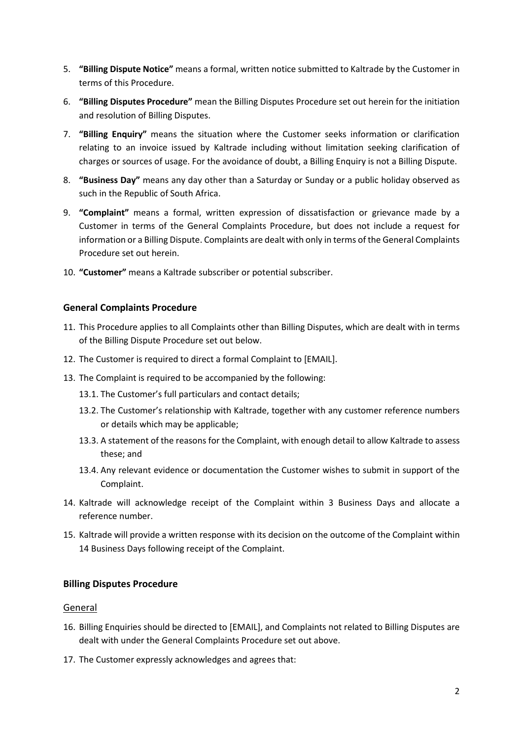- 5. **"Billing Dispute Notice"** means a formal, written notice submitted to Kaltrade by the Customer in terms of this Procedure.
- 6. **"Billing Disputes Procedure"** mean the Billing Disputes Procedure set out herein for the initiation and resolution of Billing Disputes.
- 7. **"Billing Enquiry"** means the situation where the Customer seeks information or clarification relating to an invoice issued by Kaltrade including without limitation seeking clarification of charges or sources of usage. For the avoidance of doubt, a Billing Enquiry is not a Billing Dispute.
- 8. **"Business Day"** means any day other than a Saturday or Sunday or a public holiday observed as such in the Republic of South Africa.
- 9. **"Complaint"** means a formal, written expression of dissatisfaction or grievance made by a Customer in terms of the General Complaints Procedure, but does not include a request for information or a Billing Dispute. Complaints are dealt with only in terms of the General Complaints Procedure set out herein.
- <span id="page-1-0"></span>10. **"Customer"** means a Kaltrade subscriber or potential subscriber.

### **General Complaints Procedure**

- 11. This Procedure applies to all Complaints other than Billing Disputes, which are dealt with in terms of the Billing Dispute Procedure set out below.
- 12. The Customer is required to direct a formal Complaint to [EMAIL].
- 13. The Complaint is required to be accompanied by the following:
	- 13.1. The Customer's full particulars and contact details;
	- 13.2. The Customer's relationship with Kaltrade, together with any customer reference numbers or details which may be applicable;
	- 13.3. A statement of the reasons for the Complaint, with enough detail to allow Kaltrade to assess these; and
	- 13.4. Any relevant evidence or documentation the Customer wishes to submit in support of the Complaint.
- 14. Kaltrade will acknowledge receipt of the Complaint within 3 Business Days and allocate a reference number.
- 15. Kaltrade will provide a written response with its decision on the outcome of the Complaint within 14 Business Days following receipt of the Complaint.

### <span id="page-1-1"></span>**Billing Disputes Procedure**

#### <span id="page-1-2"></span>General

- 16. Billing Enquiries should be directed to [EMAIL], and Complaints not related to Billing Disputes are dealt with under the General Complaints Procedure set out above.
- 17. The Customer expressly acknowledges and agrees that: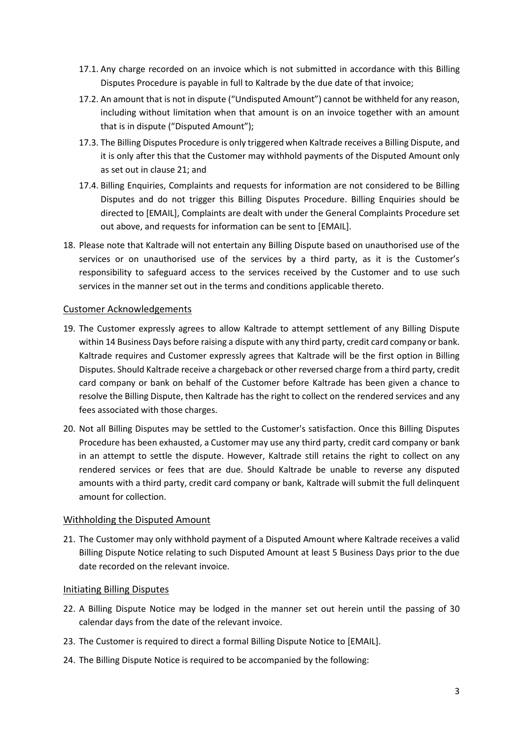- 17.1. Any charge recorded on an invoice which is not submitted in accordance with this Billing Disputes Procedure is payable in full to Kaltrade by the due date of that invoice;
- 17.2. An amount that is not in dispute ("Undisputed Amount") cannot be withheld for any reason, including without limitation when that amount is on an invoice together with an amount that is in dispute ("Disputed Amount");
- 17.3. The Billing Disputes Procedure is only triggered when Kaltrade receives a Billing Dispute, and it is only after this that the Customer may withhold payments of the Disputed Amount only as set out in claus[e 21;](#page-2-3) and
- 17.4. Billing Enquiries, Complaints and requests for information are not considered to be Billing Disputes and do not trigger this Billing Disputes Procedure. Billing Enquiries should be directed to [EMAIL], Complaints are dealt with under the General Complaints Procedure set out above, and requests for information can be sent to [EMAIL].
- 18. Please note that Kaltrade will not entertain any Billing Dispute based on unauthorised use of the services or on unauthorised use of the services by a third party, as it is the Customer's responsibility to safeguard access to the services received by the Customer and to use such services in the manner set out in the terms and conditions applicable thereto.

### <span id="page-2-0"></span>Customer Acknowledgements

- 19. The Customer expressly agrees to allow Kaltrade to attempt settlement of any Billing Dispute within 14 Business Days before raising a dispute with any third party, credit card company or bank. Kaltrade requires and Customer expressly agrees that Kaltrade will be the first option in Billing Disputes. Should Kaltrade receive a chargeback or other reversed charge from a third party, credit card company or bank on behalf of the Customer before Kaltrade has been given a chance to resolve the Billing Dispute, then Kaltrade has the right to collect on the rendered services and any fees associated with those charges.
- 20. Not all Billing Disputes may be settled to the Customer's satisfaction. Once this Billing Disputes Procedure has been exhausted, a Customer may use any third party, credit card company or bank in an attempt to settle the dispute. However, Kaltrade still retains the right to collect on any rendered services or fees that are due. Should Kaltrade be unable to reverse any disputed amounts with a third party, credit card company or bank, Kaltrade will submit the full delinquent amount for collection.

### <span id="page-2-1"></span>Withholding the Disputed Amount

<span id="page-2-3"></span>21. The Customer may only withhold payment of a Disputed Amount where Kaltrade receives a valid Billing Dispute Notice relating to such Disputed Amount at least 5 Business Days prior to the due date recorded on the relevant invoice.

#### <span id="page-2-2"></span>Initiating Billing Disputes

- 22. A Billing Dispute Notice may be lodged in the manner set out herein until the passing of 30 calendar days from the date of the relevant invoice.
- <span id="page-2-5"></span>23. The Customer is required to direct a formal Billing Dispute Notice to [EMAIL].
- <span id="page-2-4"></span>24. The Billing Dispute Notice is required to be accompanied by the following: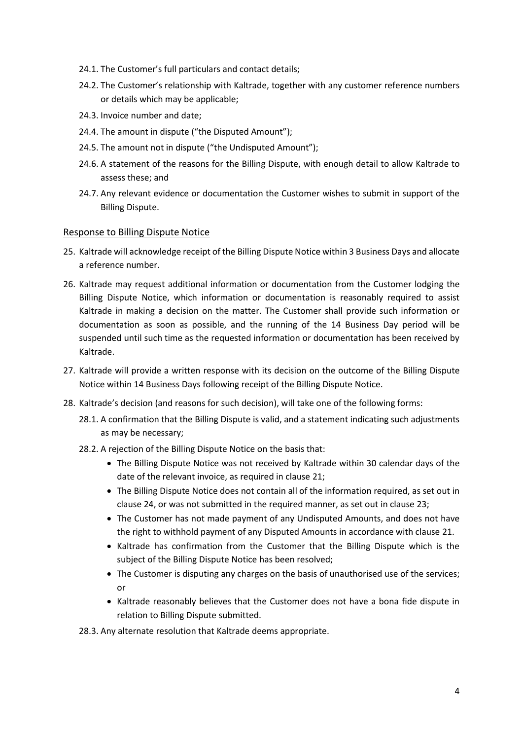- 24.1. The Customer's full particulars and contact details;
- 24.2. The Customer's relationship with Kaltrade, together with any customer reference numbers or details which may be applicable;
- 24.3. Invoice number and date;
- 24.4. The amount in dispute ("the Disputed Amount");
- 24.5. The amount not in dispute ("the Undisputed Amount");
- 24.6. A statement of the reasons for the Billing Dispute, with enough detail to allow Kaltrade to assess these; and
- 24.7. Any relevant evidence or documentation the Customer wishes to submit in support of the Billing Dispute.

#### <span id="page-3-0"></span>Response to Billing Dispute Notice

- 25. Kaltrade will acknowledge receipt of the Billing Dispute Notice within 3 Business Days and allocate a reference number.
- 26. Kaltrade may request additional information or documentation from the Customer lodging the Billing Dispute Notice, which information or documentation is reasonably required to assist Kaltrade in making a decision on the matter. The Customer shall provide such information or documentation as soon as possible, and the running of the 14 Business Day period will be suspended until such time as the requested information or documentation has been received by Kaltrade.
- 27. Kaltrade will provide a written response with its decision on the outcome of the Billing Dispute Notice within 14 Business Days following receipt of the Billing Dispute Notice.
- <span id="page-3-1"></span>28. Kaltrade's decision (and reasons for such decision), will take one of the following forms:
	- 28.1. A confirmation that the Billing Dispute is valid, and a statement indicating such adjustments as may be necessary;
	- 28.2. A rejection of the Billing Dispute Notice on the basis that:
		- The Billing Dispute Notice was not received by Kaltrade within 30 calendar days of the date of the relevant invoice, as required in claus[e 21;](#page-2-3)
		- The Billing Dispute Notice does not contain all of the information required, as set out in claus[e 24,](#page-2-4) or was not submitted in the required manner, as set out in claus[e 23;](#page-2-5)
		- The Customer has not made payment of any Undisputed Amounts, and does not have the right to withhold payment of any Disputed Amounts in accordance with clause [21.](#page-2-3)
		- Kaltrade has confirmation from the Customer that the Billing Dispute which is the subject of the Billing Dispute Notice has been resolved;
		- The Customer is disputing any charges on the basis of unauthorised use of the services; or
		- Kaltrade reasonably believes that the Customer does not have a bona fide dispute in relation to Billing Dispute submitted.

28.3. Any alternate resolution that Kaltrade deems appropriate.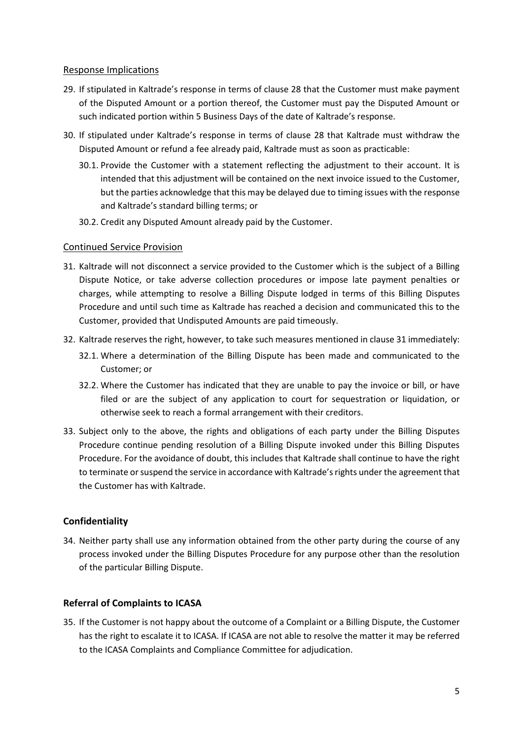### <span id="page-4-0"></span>Response Implications

- 29. If stipulated in Kaltrade's response in terms of clause [28](#page-3-1) that the Customer must make payment of the Disputed Amount or a portion thereof, the Customer must pay the Disputed Amount or such indicated portion within 5 Business Days of the date of Kaltrade's response.
- 30. If stipulated under Kaltrade's response in terms of clause [28](#page-3-1) that Kaltrade must withdraw the Disputed Amount or refund a fee already paid, Kaltrade must as soon as practicable:
	- 30.1. Provide the Customer with a statement reflecting the adjustment to their account. It is intended that this adjustment will be contained on the next invoice issued to the Customer, but the parties acknowledge that this may be delayed due to timing issues with the response and Kaltrade's standard billing terms; or
	- 30.2. Credit any Disputed Amount already paid by the Customer.

#### <span id="page-4-1"></span>Continued Service Provision

- <span id="page-4-4"></span>31. Kaltrade will not disconnect a service provided to the Customer which is the subject of a Billing Dispute Notice, or take adverse collection procedures or impose late payment penalties or charges, while attempting to resolve a Billing Dispute lodged in terms of this Billing Disputes Procedure and until such time as Kaltrade has reached a decision and communicated this to the Customer, provided that Undisputed Amounts are paid timeously.
- 32. Kaltrade reserves the right, however, to take such measures mentioned in claus[e 31](#page-4-4) immediately:
	- 32.1. Where a determination of the Billing Dispute has been made and communicated to the Customer; or
	- 32.2. Where the Customer has indicated that they are unable to pay the invoice or bill, or have filed or are the subject of any application to court for sequestration or liquidation, or otherwise seek to reach a formal arrangement with their creditors.
- 33. Subject only to the above, the rights and obligations of each party under the Billing Disputes Procedure continue pending resolution of a Billing Dispute invoked under this Billing Disputes Procedure. For the avoidance of doubt, this includes that Kaltrade shall continue to have the right to terminate or suspend the service in accordance with Kaltrade'srights under the agreement that the Customer has with Kaltrade.

### <span id="page-4-2"></span>**Confidentiality**

34. Neither party shall use any information obtained from the other party during the course of any process invoked under the Billing Disputes Procedure for any purpose other than the resolution of the particular Billing Dispute.

### <span id="page-4-3"></span>**Referral of Complaints to ICASA**

35. If the Customer is not happy about the outcome of a Complaint or a Billing Dispute, the Customer has the right to escalate it to ICASA. If ICASA are not able to resolve the matter it may be referred to the ICASA Complaints and Compliance Committee for adjudication.